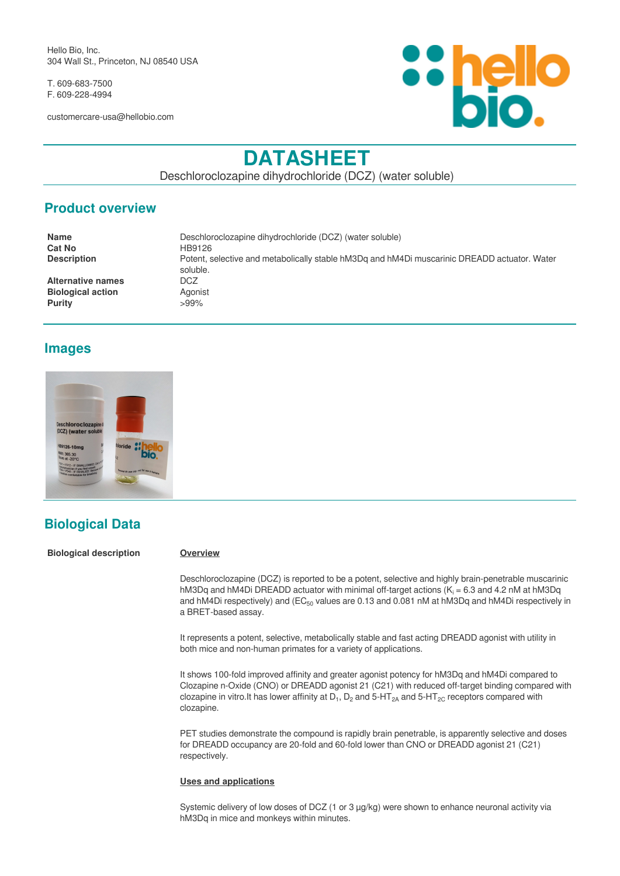Hello Bio, Inc. 304 Wall St., Princeton, NJ 08540 USA

T. 609-683-7500 F. 609-228-4994

customercare-usa@hellobio.com



# **DATASHEET**

Deschloroclozapine dihydrochloride (DCZ) (water soluble)

### **Product overview**

| <b>Name</b>              | Deschloroclozapine dihydrochloride (DCZ) (water soluble)                                                 |
|--------------------------|----------------------------------------------------------------------------------------------------------|
| <b>Cat No</b>            | HB9126                                                                                                   |
| <b>Description</b>       | Potent, selective and metabolically stable hM3Dq and hM4Di muscarinic DREADD actuator. Water<br>soluble. |
| <b>Alternative names</b> | DCZ                                                                                                      |
| <b>Biological action</b> | Agonist                                                                                                  |
| <b>Purity</b>            | $>99\%$                                                                                                  |

# **Images**



# **Biological Data**

**Biological description Overview**

Deschloroclozapine (DCZ) is reported to be a potent, selective and highly brain-penetrable muscarinic hM3Dq and hM4Di DREADD actuator with minimal off-target actions ( $K_i$  = 6.3 and 4.2 nM at hM3Dq and hM4Di respectively) and  $(EC_{50}$  values are 0.13 and 0.081 nM at hM3Dq and hM4Di respectively in a BRET-based assay.

It represents a potent, selective, metabolically stable and fast acting DREADD agonist with utility in both mice and non-human primates for a variety of applications.

It shows 100-fold improved affinity and greater agonist potency for hM3Dq and hM4Di compared to Clozapine n-Oxide (CNO) or DREADD agonist 21 (C21) with reduced off-target binding compared with clozapine in vitro.It has lower affinity at D<sub>1</sub>, D<sub>2</sub> and 5-HT<sub>2A</sub> and 5-HT<sub>2C</sub> receptors compared with clozapine.

PET studies demonstrate the compound is rapidly brain penetrable, is apparently selective and doses for DREADD occupancy are 20-fold and 60-fold lower than CNO or DREADD agonist 21 (C21) respectively.

#### **Uses and applications**

Systemic delivery of low doses of DCZ (1 or 3 µg/kg) were shown to enhance neuronal activity via hM3Dq in mice and monkeys within minutes.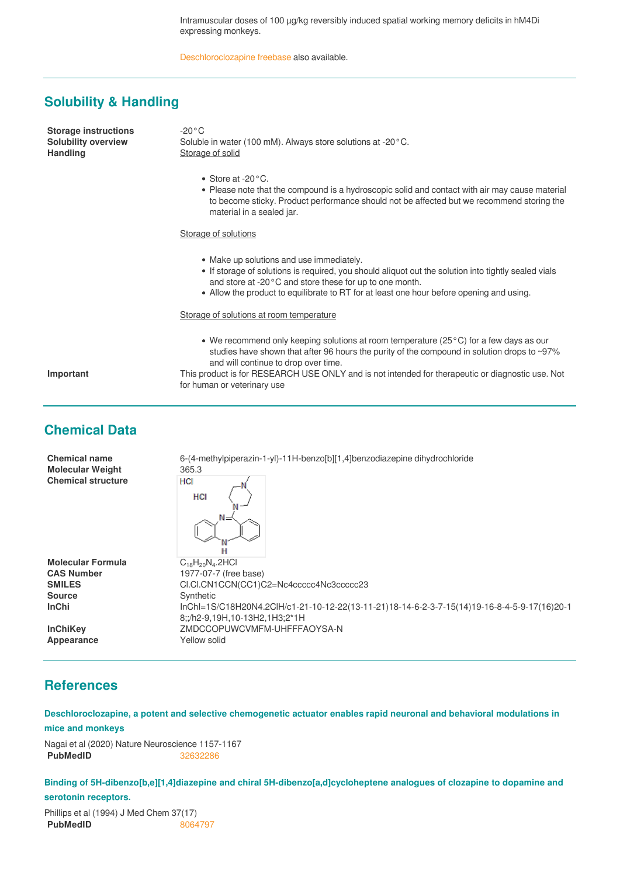Intramuscular doses of 100 µg/kg reversibly induced spatial working memory deficits in hM4Di expressing monkeys.

[Deschloroclozapine freebase](https://hellobio.com/deschloroclozapine.html) also available.

#### **Solubility & Handling**

**Storage instructions** -20°C

**Solubility overview** Soluble in water (100 mM). Always store solutions at -20°C.<br> **Handling** Storage of solid **Storage of solid** 

- Store at -20°C.
- Please note that the compound is a hydroscopic solid and contact with air may cause material to become sticky. Product performance should not be affected but we recommend storing the material in a sealed jar.

#### **Storage of solutions**

- Make up solutions and use immediately.
- If storage of solutions is required, you should aliquot out the solution into tightly sealed vials and store at -20°C and store these for up to one month.
- Allow the product to equilibrate to RT for at least one hour before opening and using.

#### Storage of solutions at room temperature

for human or veterinary use

We recommend only keeping solutions at room temperature (25°C) for a few days as our studies have shown that after 96 hours the purity of the compound in solution drops to ~97% and will continue to drop over time.

**Important** This product is for RESEARCH USE ONLY and is not intended for therapeutic or diagnostic use. Not

### **Chemical Data**

| <b>Chemical name</b><br><b>Molecular Weight</b><br><b>Chemical structure</b> | 6-(4-methylpiperazin-1-yl)-11H-benzo[b][1,4]benzodiazepine dihydrochloride<br>365.3<br>HCI<br>HCI<br>$N =$<br>н |
|------------------------------------------------------------------------------|-----------------------------------------------------------------------------------------------------------------|
| <b>Molecular Formula</b><br><b>CAS Number</b>                                | $C_{18}H_{20}N_{4}.2HCl$<br>1977-07-7 (free base)                                                               |
| <b>SMILES</b>                                                                | CI.CI.CN1CCN(CC1)C2=Nc4ccccc4Nc3ccccc23                                                                         |
| <b>Source</b>                                                                | Synthetic                                                                                                       |
| <b>InChi</b>                                                                 | lnChl=1S/C18H20N4.2ClH/c1-21-10-12-22(13-11-21)18-14-6-2-3-7-15(14)19-16-8-4-5-9-17(16)20-1                     |
|                                                                              | 8::/h2-9.19H.10-13H2.1H3:2*1H                                                                                   |
| <b>InChiKey</b>                                                              | ZMDCCOPUWCVMFM-UHFFFAOYSA-N                                                                                     |
| Appearance                                                                   | Yellow solid                                                                                                    |
|                                                                              |                                                                                                                 |

# **References**

**Deschloroclozapine, a potent and selective chemogenetic actuator enables rapid neuronal and behavioral modulations in mice and monkeys**

Nagai et al (2020) Nature Neuroscience 1157-1167 **PubMedID** [32632286](https://pubmed.ncbi.nlm.nih.gov/32632286/)

**Binding of 5H-dibenzo[b,e][1,4]diazepine and chiral 5H-dibenzo[a,d]cycloheptene analogues of clozapine to dopamine and serotonin receptors.**

Phillips et al (1994) J Med Chem 37(17) **PubMedID** [8064797](https://www.ncbi.nlm.nih.gov/pubmed/8064797)